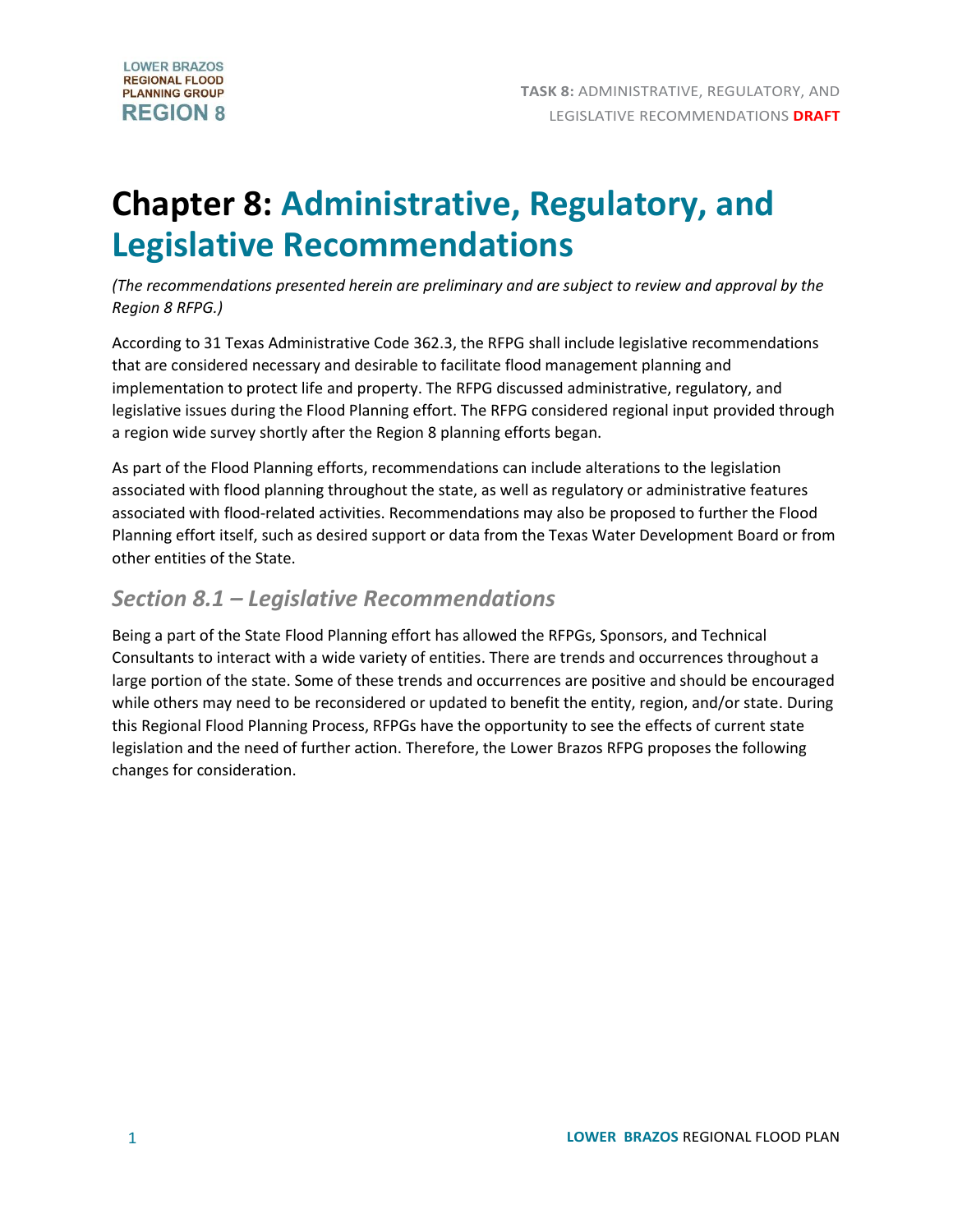# **Chapter 8: Administrative, Regulatory, and Legislative Recommendations**

*(The recommendations presented herein are preliminary and are subject to review and approval by the Region 8 RFPG.)*

According to 31 Texas Administrative Code 362.3, the RFPG shall include legislative recommendations that are considered necessary and desirable to facilitate flood management planning and implementation to protect life and property. The RFPG discussed administrative, regulatory, and legislative issues during the Flood Planning effort. The RFPG considered regional input provided through a region wide survey shortly after the Region 8 planning efforts began.

As part of the Flood Planning efforts, recommendations can include alterations to the legislation associated with flood planning throughout the state, as well as regulatory or administrative features associated with flood-related activities. Recommendations may also be proposed to further the Flood Planning effort itself, such as desired support or data from the Texas Water Development Board or from other entities of the State.

## *Section 8.1 – Legislative Recommendations*

Being a part of the State Flood Planning effort has allowed the RFPGs, Sponsors, and Technical Consultants to interact with a wide variety of entities. There are trends and occurrences throughout a large portion of the state. Some of these trends and occurrences are positive and should be encouraged while others may need to be reconsidered or updated to benefit the entity, region, and/or state. During this Regional Flood Planning Process, RFPGs have the opportunity to see the effects of current state legislation and the need of further action. Therefore, the Lower Brazos RFPG proposes the following changes for consideration.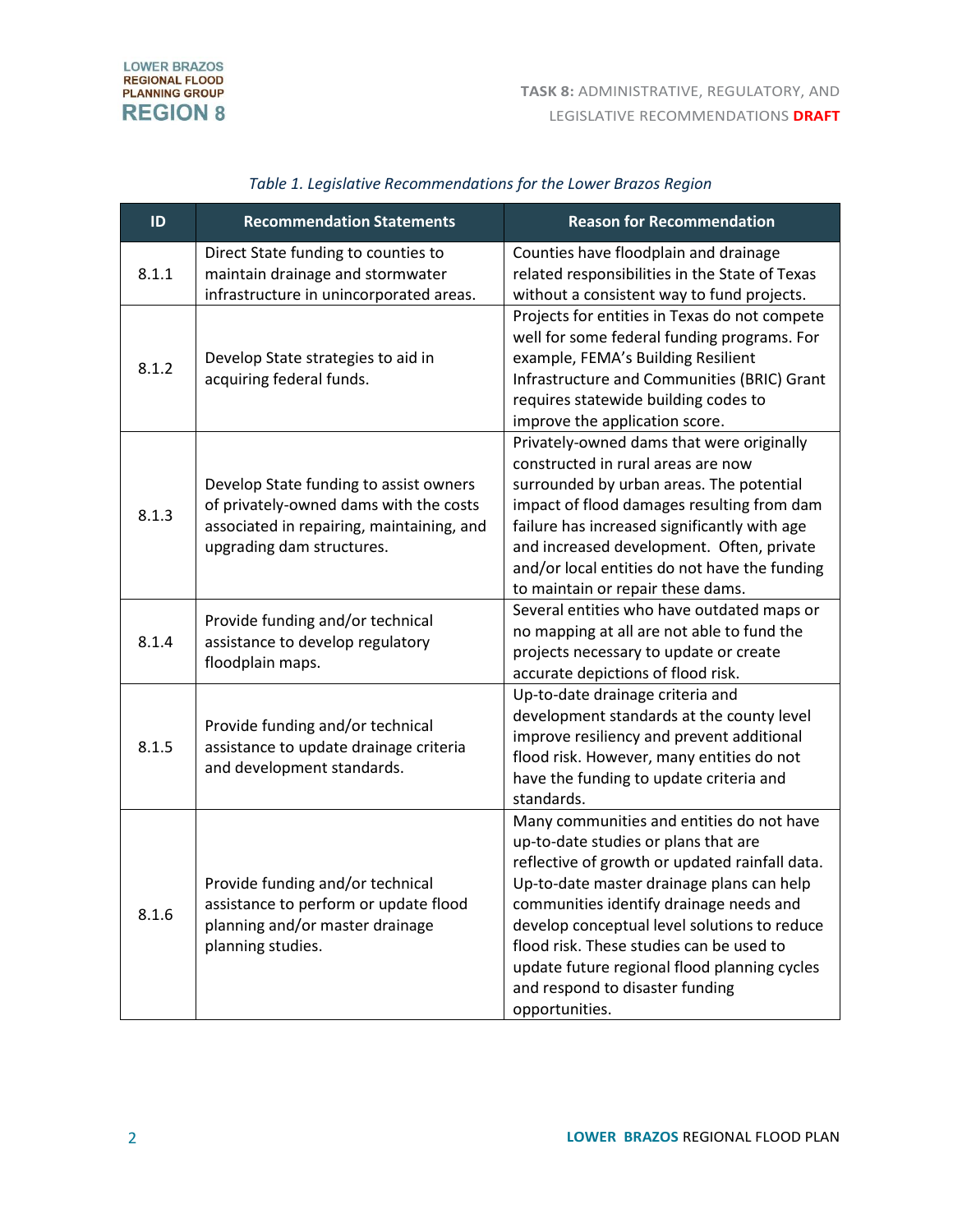| ID    | <b>Recommendation Statements</b>                                                                                                                           | <b>Reason for Recommendation</b>                                                                                                                                                                                                                                                                                                                                                                                             |
|-------|------------------------------------------------------------------------------------------------------------------------------------------------------------|------------------------------------------------------------------------------------------------------------------------------------------------------------------------------------------------------------------------------------------------------------------------------------------------------------------------------------------------------------------------------------------------------------------------------|
| 8.1.1 | Direct State funding to counties to<br>maintain drainage and stormwater<br>infrastructure in unincorporated areas.                                         | Counties have floodplain and drainage<br>related responsibilities in the State of Texas<br>without a consistent way to fund projects.                                                                                                                                                                                                                                                                                        |
| 8.1.2 | Develop State strategies to aid in<br>acquiring federal funds.                                                                                             | Projects for entities in Texas do not compete<br>well for some federal funding programs. For<br>example, FEMA's Building Resilient<br>Infrastructure and Communities (BRIC) Grant<br>requires statewide building codes to<br>improve the application score.                                                                                                                                                                  |
| 8.1.3 | Develop State funding to assist owners<br>of privately-owned dams with the costs<br>associated in repairing, maintaining, and<br>upgrading dam structures. | Privately-owned dams that were originally<br>constructed in rural areas are now<br>surrounded by urban areas. The potential<br>impact of flood damages resulting from dam<br>failure has increased significantly with age<br>and increased development. Often, private<br>and/or local entities do not have the funding<br>to maintain or repair these dams.                                                                 |
| 8.1.4 | Provide funding and/or technical<br>assistance to develop regulatory<br>floodplain maps.                                                                   | Several entities who have outdated maps or<br>no mapping at all are not able to fund the<br>projects necessary to update or create<br>accurate depictions of flood risk.                                                                                                                                                                                                                                                     |
| 8.1.5 | Provide funding and/or technical<br>assistance to update drainage criteria<br>and development standards.                                                   | Up-to-date drainage criteria and<br>development standards at the county level<br>improve resiliency and prevent additional<br>flood risk. However, many entities do not<br>have the funding to update criteria and<br>standards.                                                                                                                                                                                             |
| 8.1.6 | Provide funding and/or technical<br>assistance to perform or update flood<br>planning and/or master drainage<br>planning studies.                          | Many communities and entities do not have<br>up-to-date studies or plans that are<br>reflective of growth or updated rainfall data.<br>Up-to-date master drainage plans can help<br>communities identify drainage needs and<br>develop conceptual level solutions to reduce<br>flood risk. These studies can be used to<br>update future regional flood planning cycles<br>and respond to disaster funding<br>opportunities. |

## *Table 1. Legislative Recommendations for the Lower Brazos Region*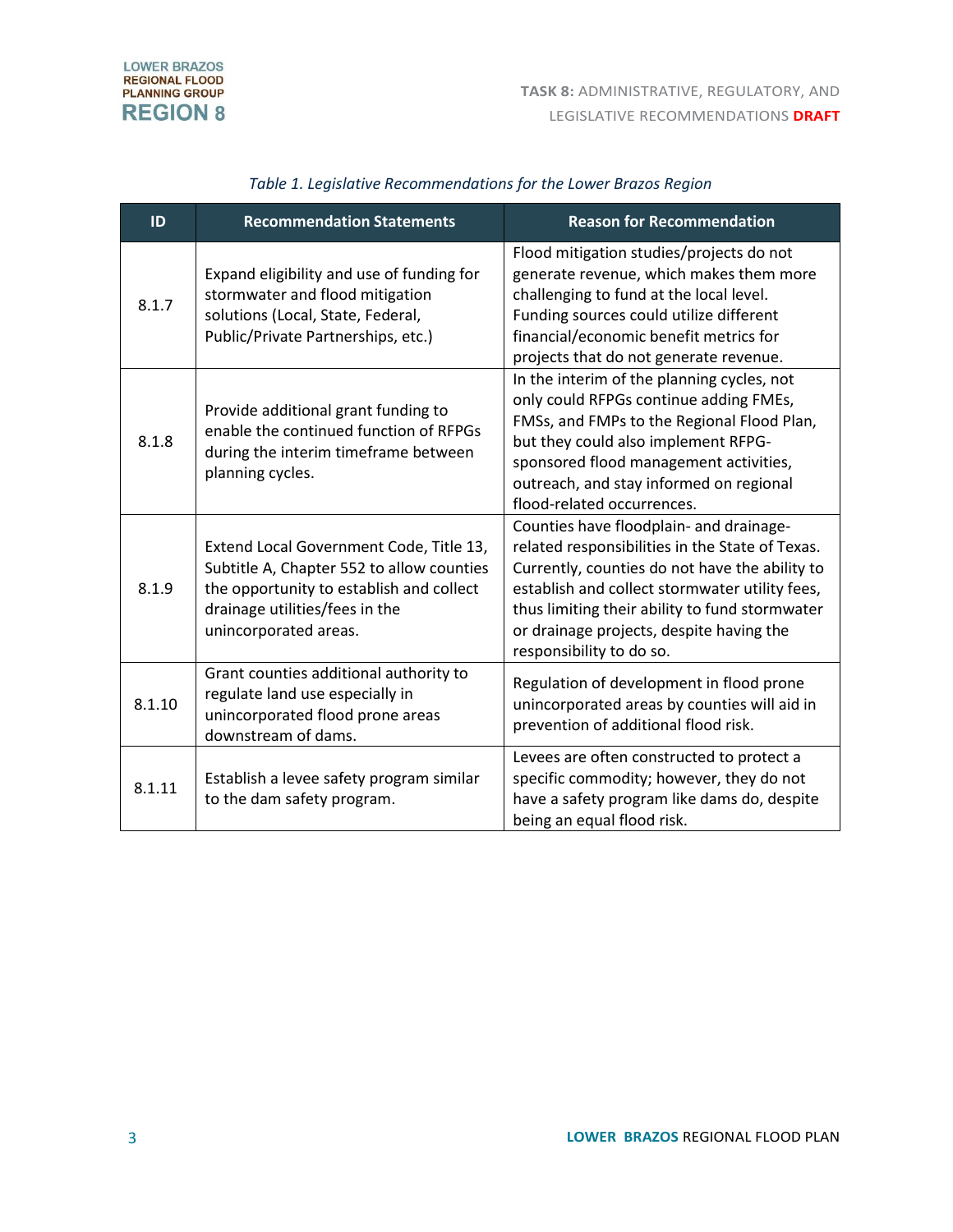| ID     | <b>Recommendation Statements</b>                                                                                                                                                            | <b>Reason for Recommendation</b>                                                                                                                                                                                                                                                                                         |
|--------|---------------------------------------------------------------------------------------------------------------------------------------------------------------------------------------------|--------------------------------------------------------------------------------------------------------------------------------------------------------------------------------------------------------------------------------------------------------------------------------------------------------------------------|
| 8.1.7  | Expand eligibility and use of funding for<br>stormwater and flood mitigation<br>solutions (Local, State, Federal,<br>Public/Private Partnerships, etc.)                                     | Flood mitigation studies/projects do not<br>generate revenue, which makes them more<br>challenging to fund at the local level.<br>Funding sources could utilize different<br>financial/economic benefit metrics for<br>projects that do not generate revenue.                                                            |
| 8.1.8  | Provide additional grant funding to<br>enable the continued function of RFPGs<br>during the interim timeframe between<br>planning cycles.                                                   | In the interim of the planning cycles, not<br>only could RFPGs continue adding FMEs,<br>FMSs, and FMPs to the Regional Flood Plan,<br>but they could also implement RFPG-<br>sponsored flood management activities,<br>outreach, and stay informed on regional<br>flood-related occurrences.                             |
| 8.1.9  | Extend Local Government Code, Title 13,<br>Subtitle A, Chapter 552 to allow counties<br>the opportunity to establish and collect<br>drainage utilities/fees in the<br>unincorporated areas. | Counties have floodplain- and drainage-<br>related responsibilities in the State of Texas.<br>Currently, counties do not have the ability to<br>establish and collect stormwater utility fees,<br>thus limiting their ability to fund stormwater<br>or drainage projects, despite having the<br>responsibility to do so. |
| 8.1.10 | Grant counties additional authority to<br>regulate land use especially in<br>unincorporated flood prone areas<br>downstream of dams.                                                        | Regulation of development in flood prone<br>unincorporated areas by counties will aid in<br>prevention of additional flood risk.                                                                                                                                                                                         |
| 8.1.11 | Establish a levee safety program similar<br>to the dam safety program.                                                                                                                      | Levees are often constructed to protect a<br>specific commodity; however, they do not<br>have a safety program like dams do, despite<br>being an equal flood risk.                                                                                                                                                       |

### *Table 1. Legislative Recommendations for the Lower Brazos Region*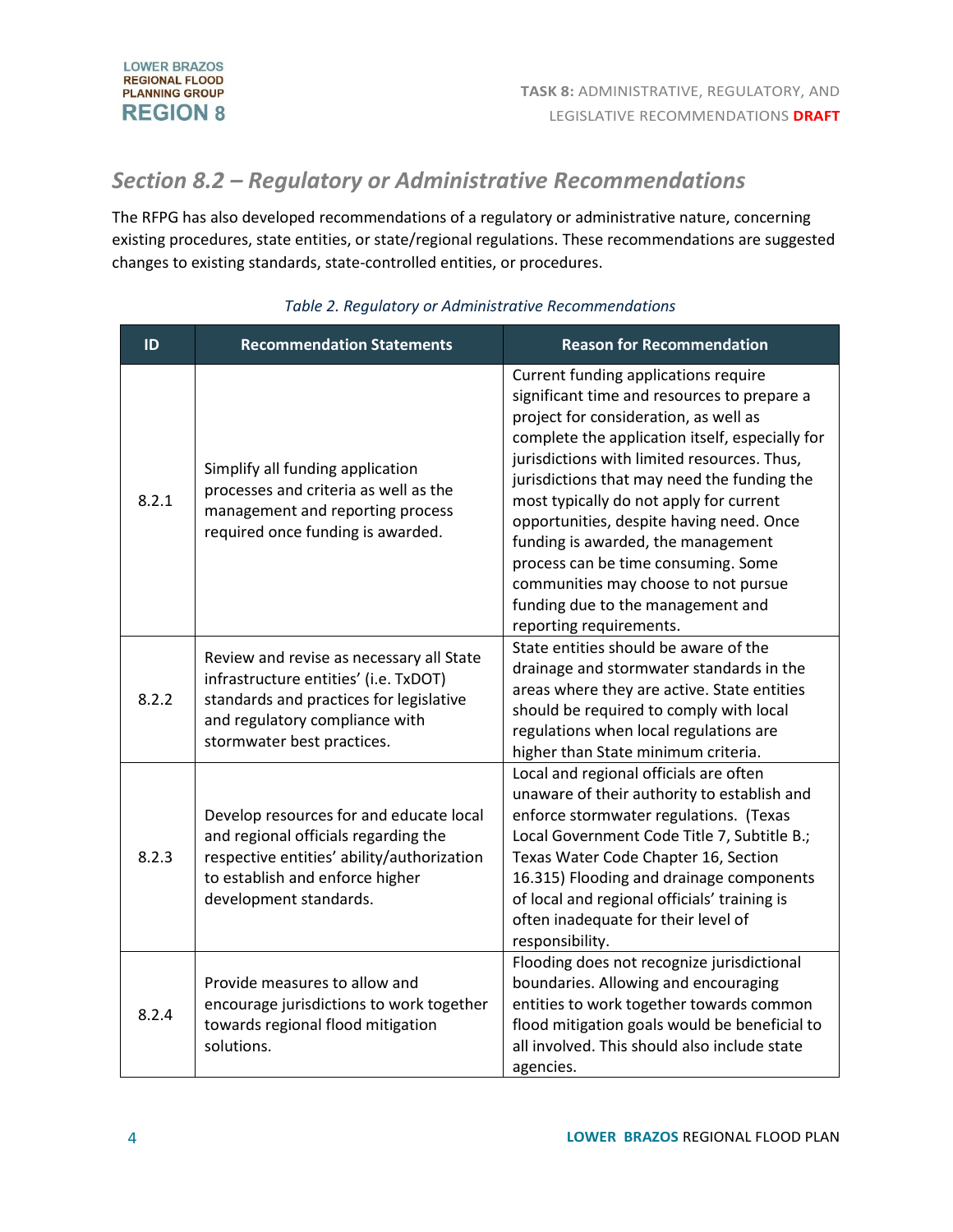# *Section 8.2 – Regulatory or Administrative Recommendations*

The RFPG has also developed recommendations of a regulatory or administrative nature, concerning existing procedures, state entities, or state/regional regulations. These recommendations are suggested changes to existing standards, state-controlled entities, or procedures.

| ID    | <b>Recommendation Statements</b>                                                                                                                                                             | <b>Reason for Recommendation</b>                                                                                                                                                                                                                                                                                                                                                                                                                                                                                                                          |
|-------|----------------------------------------------------------------------------------------------------------------------------------------------------------------------------------------------|-----------------------------------------------------------------------------------------------------------------------------------------------------------------------------------------------------------------------------------------------------------------------------------------------------------------------------------------------------------------------------------------------------------------------------------------------------------------------------------------------------------------------------------------------------------|
| 8.2.1 | Simplify all funding application<br>processes and criteria as well as the<br>management and reporting process<br>required once funding is awarded.                                           | Current funding applications require<br>significant time and resources to prepare a<br>project for consideration, as well as<br>complete the application itself, especially for<br>jurisdictions with limited resources. Thus,<br>jurisdictions that may need the funding the<br>most typically do not apply for current<br>opportunities, despite having need. Once<br>funding is awarded, the management<br>process can be time consuming. Some<br>communities may choose to not pursue<br>funding due to the management and<br>reporting requirements. |
| 8.2.2 | Review and revise as necessary all State<br>infrastructure entities' (i.e. TxDOT)<br>standards and practices for legislative<br>and regulatory compliance with<br>stormwater best practices. | State entities should be aware of the<br>drainage and stormwater standards in the<br>areas where they are active. State entities<br>should be required to comply with local<br>regulations when local regulations are<br>higher than State minimum criteria.                                                                                                                                                                                                                                                                                              |
| 8.2.3 | Develop resources for and educate local<br>and regional officials regarding the<br>respective entities' ability/authorization<br>to establish and enforce higher<br>development standards.   | Local and regional officials are often<br>unaware of their authority to establish and<br>enforce stormwater regulations. (Texas<br>Local Government Code Title 7, Subtitle B.;<br>Texas Water Code Chapter 16, Section<br>16.315) Flooding and drainage components<br>of local and regional officials' training is<br>often inadequate for their level of<br>responsibility.                                                                                                                                                                              |
| 8.2.4 | Provide measures to allow and<br>encourage jurisdictions to work together<br>towards regional flood mitigation<br>solutions.                                                                 | Flooding does not recognize jurisdictional<br>boundaries. Allowing and encouraging<br>entities to work together towards common<br>flood mitigation goals would be beneficial to<br>all involved. This should also include state<br>agencies.                                                                                                                                                                                                                                                                                                              |

#### *Table 2. Regulatory or Administrative Recommendations*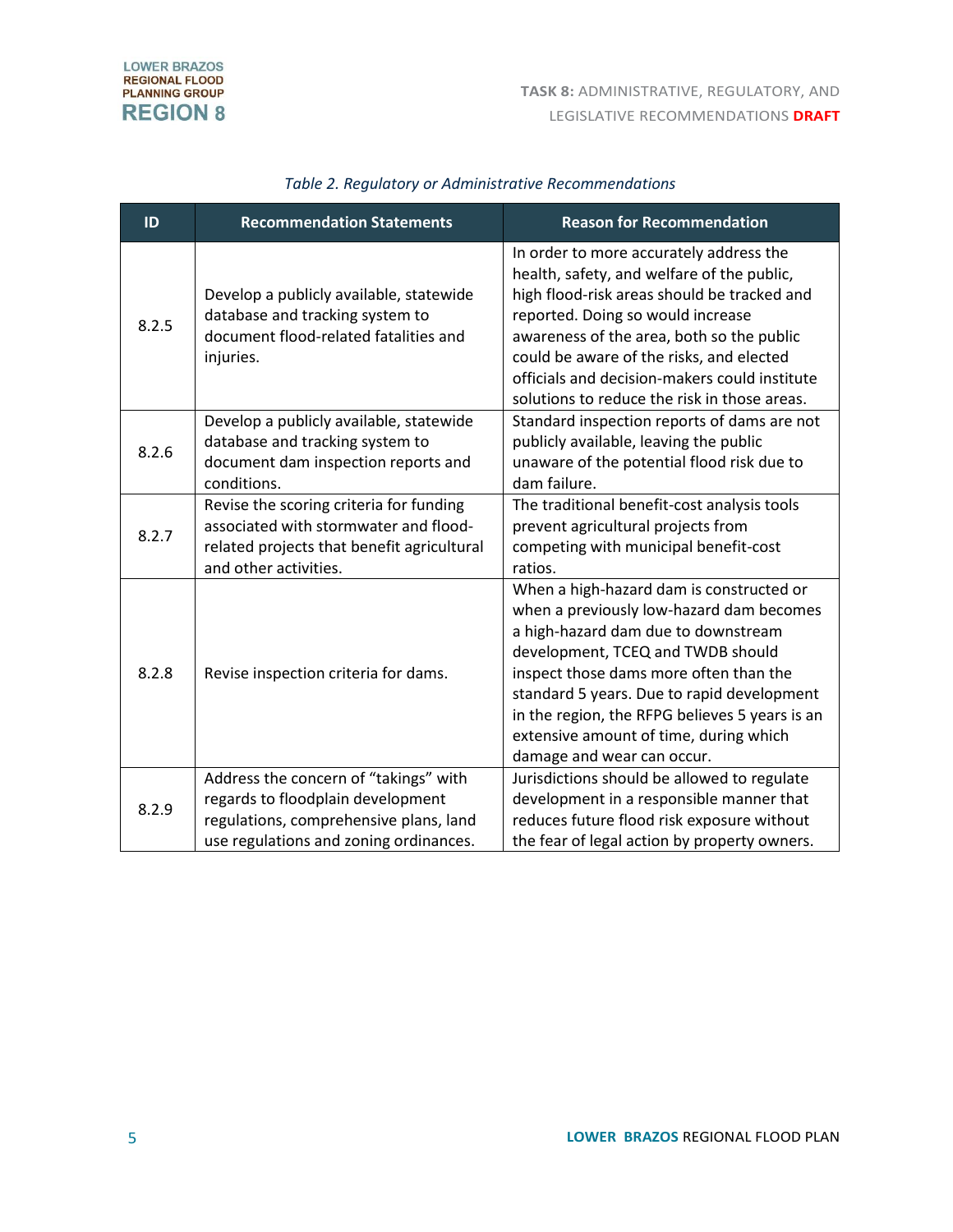| ID    | <b>Recommendation Statements</b>                                                                                                                               | <b>Reason for Recommendation</b>                                                                                                                                                                                                                                                                                                                                                   |
|-------|----------------------------------------------------------------------------------------------------------------------------------------------------------------|------------------------------------------------------------------------------------------------------------------------------------------------------------------------------------------------------------------------------------------------------------------------------------------------------------------------------------------------------------------------------------|
| 8.2.5 | Develop a publicly available, statewide<br>database and tracking system to<br>document flood-related fatalities and<br>injuries.                               | In order to more accurately address the<br>health, safety, and welfare of the public,<br>high flood-risk areas should be tracked and<br>reported. Doing so would increase<br>awareness of the area, both so the public<br>could be aware of the risks, and elected<br>officials and decision-makers could institute<br>solutions to reduce the risk in those areas.                |
| 8.2.6 | Develop a publicly available, statewide<br>database and tracking system to<br>document dam inspection reports and<br>conditions.                               | Standard inspection reports of dams are not<br>publicly available, leaving the public<br>unaware of the potential flood risk due to<br>dam failure.                                                                                                                                                                                                                                |
| 8.2.7 | Revise the scoring criteria for funding<br>associated with stormwater and flood-<br>related projects that benefit agricultural<br>and other activities.        | The traditional benefit-cost analysis tools<br>prevent agricultural projects from<br>competing with municipal benefit-cost<br>ratios.                                                                                                                                                                                                                                              |
| 8.2.8 | Revise inspection criteria for dams.                                                                                                                           | When a high-hazard dam is constructed or<br>when a previously low-hazard dam becomes<br>a high-hazard dam due to downstream<br>development, TCEQ and TWDB should<br>inspect those dams more often than the<br>standard 5 years. Due to rapid development<br>in the region, the RFPG believes 5 years is an<br>extensive amount of time, during which<br>damage and wear can occur. |
| 8.2.9 | Address the concern of "takings" with<br>regards to floodplain development<br>regulations, comprehensive plans, land<br>use regulations and zoning ordinances. | Jurisdictions should be allowed to regulate<br>development in a responsible manner that<br>reduces future flood risk exposure without<br>the fear of legal action by property owners.                                                                                                                                                                                              |

#### *Table 2. Regulatory or Administrative Recommendations*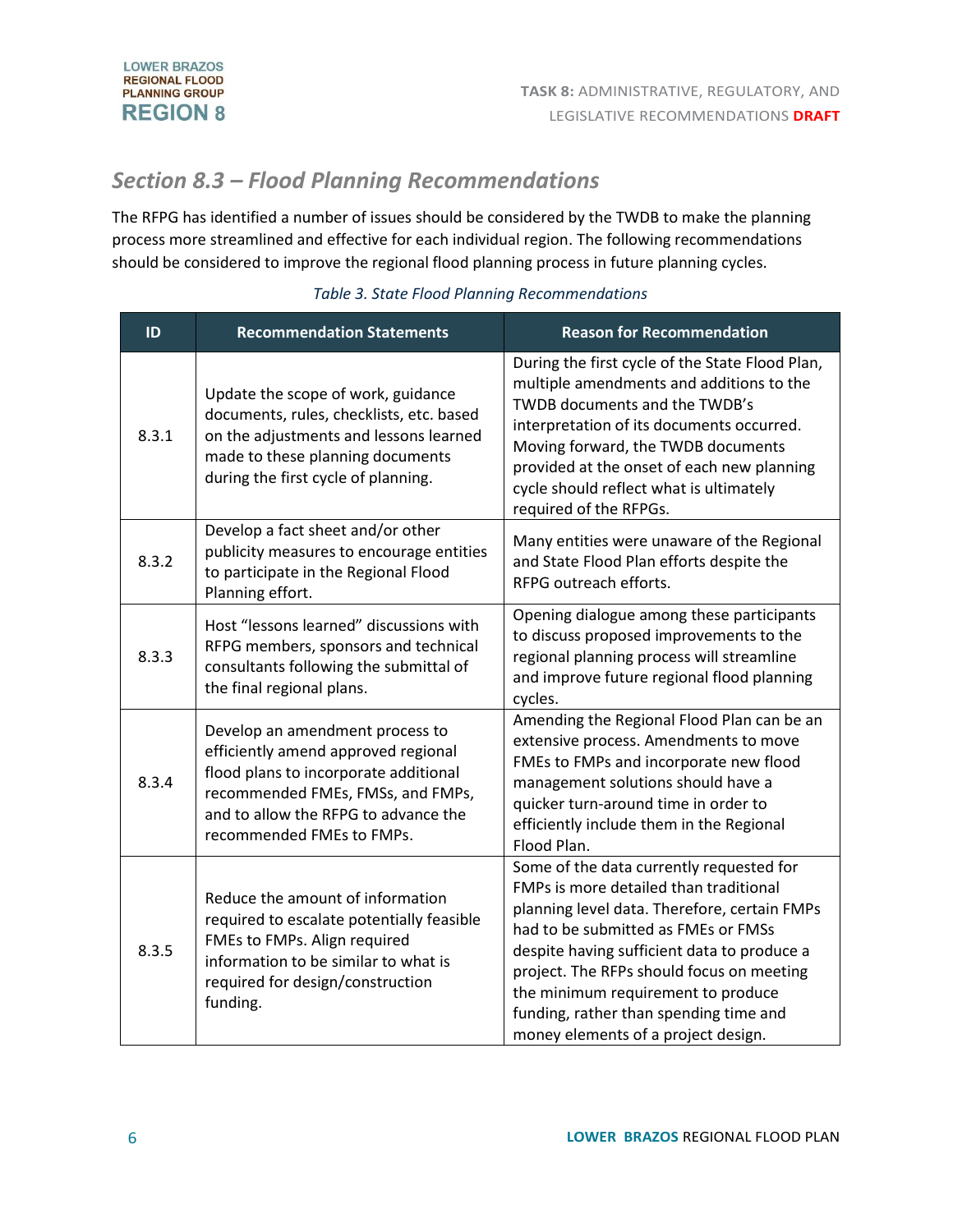# *Section 8.3 – Flood Planning Recommendations*

The RFPG has identified a number of issues should be considered by the TWDB to make the planning process more streamlined and effective for each individual region. The following recommendations should be considered to improve the regional flood planning process in future planning cycles.

| ID    | <b>Recommendation Statements</b>                                                                                                                                                                                          | <b>Reason for Recommendation</b>                                                                                                                                                                                                                                                                                                                                                             |
|-------|---------------------------------------------------------------------------------------------------------------------------------------------------------------------------------------------------------------------------|----------------------------------------------------------------------------------------------------------------------------------------------------------------------------------------------------------------------------------------------------------------------------------------------------------------------------------------------------------------------------------------------|
| 8.3.1 | Update the scope of work, guidance<br>documents, rules, checklists, etc. based<br>on the adjustments and lessons learned<br>made to these planning documents<br>during the first cycle of planning.                       | During the first cycle of the State Flood Plan,<br>multiple amendments and additions to the<br>TWDB documents and the TWDB's<br>interpretation of its documents occurred.<br>Moving forward, the TWDB documents<br>provided at the onset of each new planning<br>cycle should reflect what is ultimately<br>required of the RFPGs.                                                           |
| 8.3.2 | Develop a fact sheet and/or other<br>publicity measures to encourage entities<br>to participate in the Regional Flood<br>Planning effort.                                                                                 | Many entities were unaware of the Regional<br>and State Flood Plan efforts despite the<br>RFPG outreach efforts.                                                                                                                                                                                                                                                                             |
| 8.3.3 | Host "lessons learned" discussions with<br>RFPG members, sponsors and technical<br>consultants following the submittal of<br>the final regional plans.                                                                    | Opening dialogue among these participants<br>to discuss proposed improvements to the<br>regional planning process will streamline<br>and improve future regional flood planning<br>cycles.                                                                                                                                                                                                   |
| 8.3.4 | Develop an amendment process to<br>efficiently amend approved regional<br>flood plans to incorporate additional<br>recommended FMEs, FMSs, and FMPs,<br>and to allow the RFPG to advance the<br>recommended FMEs to FMPs. | Amending the Regional Flood Plan can be an<br>extensive process. Amendments to move<br>FMEs to FMPs and incorporate new flood<br>management solutions should have a<br>quicker turn-around time in order to<br>efficiently include them in the Regional<br>Flood Plan.                                                                                                                       |
| 8.3.5 | Reduce the amount of information<br>required to escalate potentially feasible<br>FMEs to FMPs. Align required<br>information to be similar to what is<br>required for design/construction<br>funding.                     | Some of the data currently requested for<br>FMPs is more detailed than traditional<br>planning level data. Therefore, certain FMPs<br>had to be submitted as FMEs or FMSs<br>despite having sufficient data to produce a<br>project. The RFPs should focus on meeting<br>the minimum requirement to produce<br>funding, rather than spending time and<br>money elements of a project design. |

#### *Table 3. State Flood Planning Recommendations*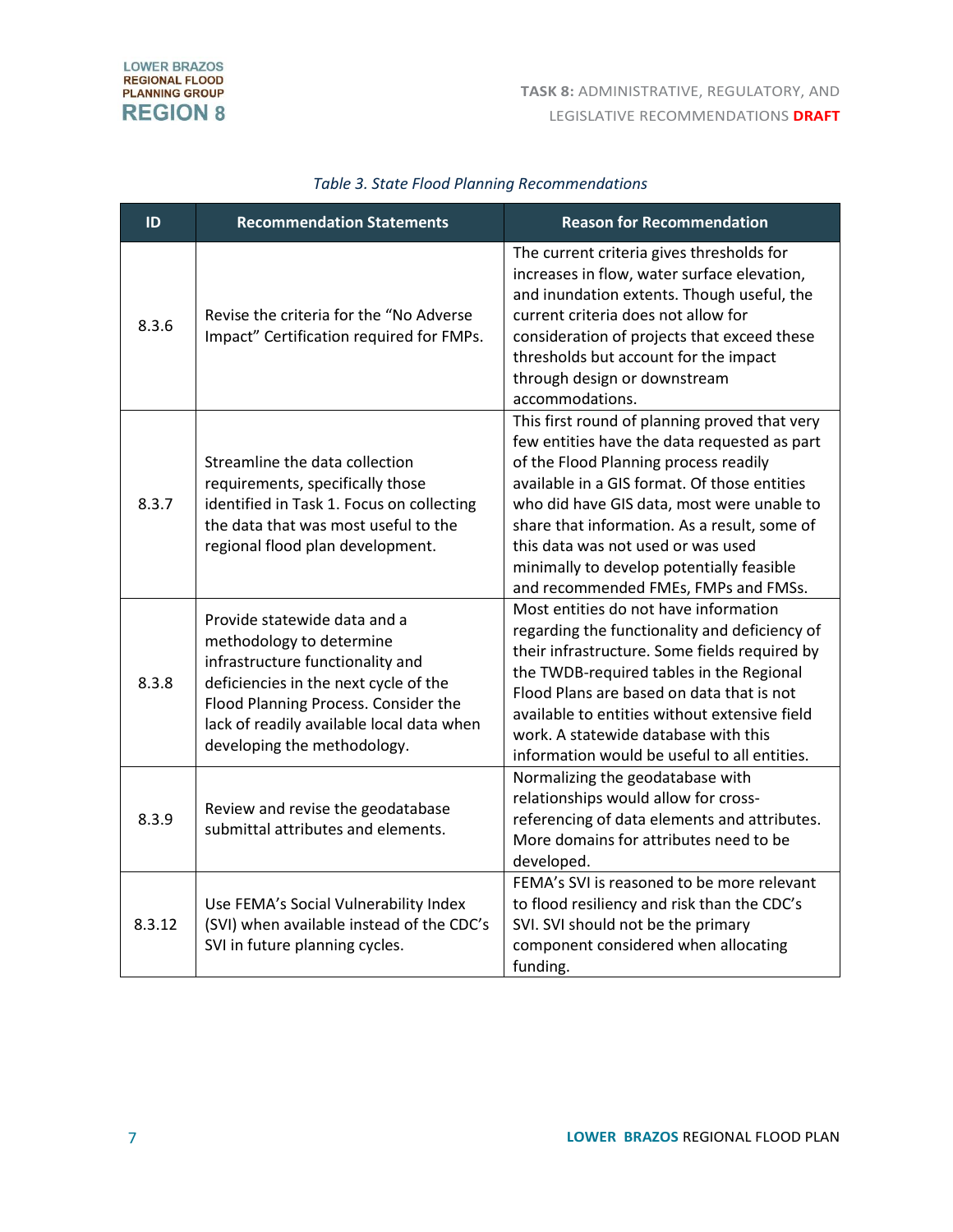| ID     | <b>Recommendation Statements</b>                                                                                                                                                                                                                          | <b>Reason for Recommendation</b>                                                                                                                                                                                                                                                                                                                                                                                |
|--------|-----------------------------------------------------------------------------------------------------------------------------------------------------------------------------------------------------------------------------------------------------------|-----------------------------------------------------------------------------------------------------------------------------------------------------------------------------------------------------------------------------------------------------------------------------------------------------------------------------------------------------------------------------------------------------------------|
| 8.3.6  | Revise the criteria for the "No Adverse<br>Impact" Certification required for FMPs.                                                                                                                                                                       | The current criteria gives thresholds for<br>increases in flow, water surface elevation,<br>and inundation extents. Though useful, the<br>current criteria does not allow for<br>consideration of projects that exceed these<br>thresholds but account for the impact<br>through design or downstream<br>accommodations.                                                                                        |
| 8.3.7  | Streamline the data collection<br>requirements, specifically those<br>identified in Task 1. Focus on collecting<br>the data that was most useful to the<br>regional flood plan development.                                                               | This first round of planning proved that very<br>few entities have the data requested as part<br>of the Flood Planning process readily<br>available in a GIS format. Of those entities<br>who did have GIS data, most were unable to<br>share that information. As a result, some of<br>this data was not used or was used<br>minimally to develop potentially feasible<br>and recommended FMEs, FMPs and FMSs. |
| 8.3.8  | Provide statewide data and a<br>methodology to determine<br>infrastructure functionality and<br>deficiencies in the next cycle of the<br>Flood Planning Process. Consider the<br>lack of readily available local data when<br>developing the methodology. | Most entities do not have information<br>regarding the functionality and deficiency of<br>their infrastructure. Some fields required by<br>the TWDB-required tables in the Regional<br>Flood Plans are based on data that is not<br>available to entities without extensive field<br>work. A statewide database with this<br>information would be useful to all entities.                                       |
| 8.3.9  | Review and revise the geodatabase<br>submittal attributes and elements.                                                                                                                                                                                   | Normalizing the geodatabase with<br>relationships would allow for cross-<br>referencing of data elements and attributes.<br>More domains for attributes need to be<br>developed.                                                                                                                                                                                                                                |
| 8.3.12 | Use FEMA's Social Vulnerability Index<br>(SVI) when available instead of the CDC's<br>SVI in future planning cycles.                                                                                                                                      | FEMA's SVI is reasoned to be more relevant<br>to flood resiliency and risk than the CDC's<br>SVI. SVI should not be the primary<br>component considered when allocating<br>funding.                                                                                                                                                                                                                             |

## *Table 3. State Flood Planning Recommendations*